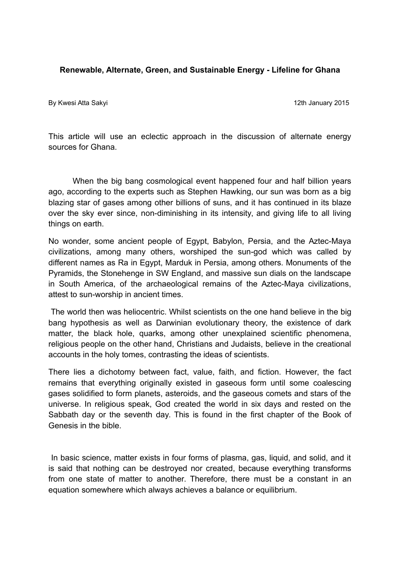#### **Renewable, Alternate, Green, and Sustainable Energy - Lifeline for Ghana**

By Kwesi Atta Sakyi 12th January 2015

This article will use an eclectic approach in the discussion of alternate energy sources for Ghana.

When the big bang cosmological event happened four and half billion years ago, according to the experts such as Stephen Hawking, our sun was born as a big blazing star of gases among other billions of suns, and it has continued in its blaze over the sky ever since, non-diminishing in its intensity, and giving life to all living things on earth.

No wonder, some ancient people of Egypt, Babylon, Persia, and the Aztec-Maya civilizations, among many others, worshiped the sun-god which was called by different names as Ra in Egypt, Marduk in Persia, among others. Monuments of the Pyramids, the Stonehenge in SW England, and massive sun dials on the landscape in South America, of the archaeological remains of the Aztec-Maya civilizations, attest to sun-worship in ancient times.

 The world then was heliocentric. Whilst scientists on the one hand believe in the big bang hypothesis as well as Darwinian evolutionary theory, the existence of dark matter, the black hole, quarks, among other unexplained scientific phenomena, religious people on the other hand, Christians and Judaists, believe in the creational accounts in the holy tomes, contrasting the ideas of scientists.

There lies a dichotomy between fact, value, faith, and fiction. However, the fact remains that everything originally existed in gaseous form until some coalescing gases solidified to form planets, asteroids, and the gaseous comets and stars of the universe. In religious speak, God created the world in six days and rested on the Sabbath day or the seventh day. This is found in the first chapter of the Book of Genesis in the bible.

In basic science, matter exists in four forms of plasma, gas, liquid, and solid, and it is said that nothing can be destroyed nor created, because everything transforms from one state of matter to another. Therefore, there must be a constant in an equation somewhere which always achieves a balance or equilibrium.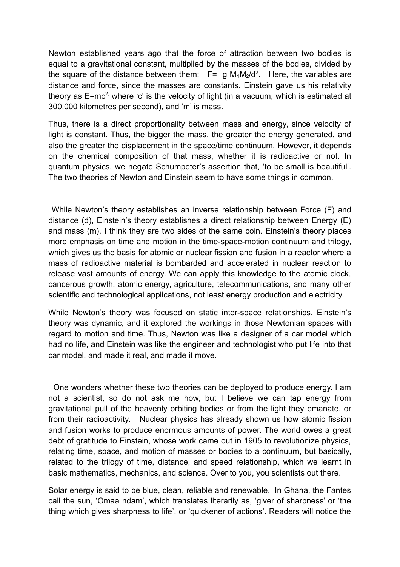Newton established years ago that the force of attraction between two bodies is equal to a gravitational constant, multiplied by the masses of the bodies, divided by the square of the distance between them:  $F = g M_1 M_2/d^2$ . Here, the variables are distance and force, since the masses are constants. Einstein gave us his relativity theory as  $E=mc^2$ , where 'c' is the velocity of light (in a vacuum, which is estimated at 300,000 kilometres per second), and 'm' is mass.

Thus, there is a direct proportionality between mass and energy, since velocity of light is constant. Thus, the bigger the mass, the greater the energy generated, and also the greater the displacement in the space/time continuum. However, it depends on the chemical composition of that mass, whether it is radioactive or not. In quantum physics, we negate Schumpeter's assertion that, 'to be small is beautiful'. The two theories of Newton and Einstein seem to have some things in common.

 While Newton's theory establishes an inverse relationship between Force (F) and distance (d), Einstein's theory establishes a direct relationship between Energy (E) and mass (m). I think they are two sides of the same coin. Einstein's theory places more emphasis on time and motion in the time-space-motion continuum and trilogy, which gives us the basis for atomic or nuclear fission and fusion in a reactor where a mass of radioactive material is bombarded and accelerated in nuclear reaction to release vast amounts of energy. We can apply this knowledge to the atomic clock, cancerous growth, atomic energy, agriculture, telecommunications, and many other scientific and technological applications, not least energy production and electricity.

While Newton's theory was focused on static inter-space relationships, Einstein's theory was dynamic, and it explored the workings in those Newtonian spaces with regard to motion and time. Thus, Newton was like a designer of a car model which had no life, and Einstein was like the engineer and technologist who put life into that car model, and made it real, and made it move.

 One wonders whether these two theories can be deployed to produce energy. I am not a scientist, so do not ask me how, but I believe we can tap energy from gravitational pull of the heavenly orbiting bodies or from the light they emanate, or from their radioactivity. Nuclear physics has already shown us how atomic fission and fusion works to produce enormous amounts of power. The world owes a great debt of gratitude to Einstein, whose work came out in 1905 to revolutionize physics, relating time, space, and motion of masses or bodies to a continuum, but basically, related to the trilogy of time, distance, and speed relationship, which we learnt in basic mathematics, mechanics, and science. Over to you, you scientists out there.

Solar energy is said to be blue, clean, reliable and renewable. In Ghana, the Fantes call the sun, 'Omaa ndam', which translates literarily as, 'giver of sharpness' or 'the thing which gives sharpness to life', or 'quickener of actions'. Readers will notice the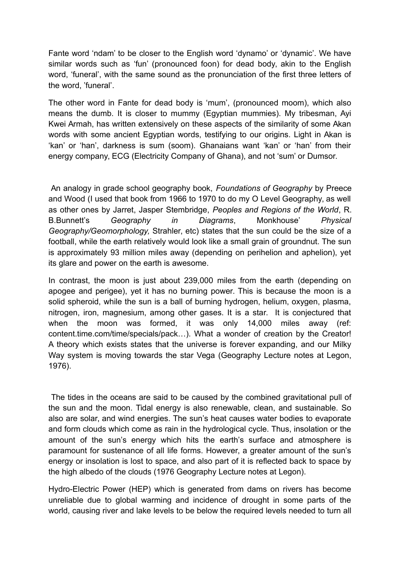Fante word 'ndam' to be closer to the English word 'dynamo' or 'dynamic'. We have similar words such as 'fun' (pronounced foon) for dead body, akin to the English word, 'funeral', with the same sound as the pronunciation of the first three letters of the word, 'funeral'.

The other word in Fante for dead body is 'mum', (pronounced moom), which also means the dumb. It is closer to mummy (Egyptian mummies). My tribesman, Ayi Kwei Armah, has written extensively on these aspects of the similarity of some Akan words with some ancient Egyptian words, testifying to our origins. Light in Akan is 'kan' or 'han', darkness is sum (soom). Ghanaians want 'kan' or 'han' from their energy company, ECG (Electricity Company of Ghana), and not 'sum' or Dumsor.

 An analogy in grade school geography book, *Foundations of Geography* by Preece and Wood (I used that book from 1966 to 1970 to do my O Level Geography, as well as other ones by Jarret, Jasper Stembridge, *Peoples and Regions of the World*, R. B.Bunnett's *Geography in Diagrams*, Monkhouse' *Physical Geography/Geomorphology,* Strahler, etc) states that the sun could be the size of a football, while the earth relatively would look like a small grain of groundnut. The sun is approximately 93 million miles away (depending on perihelion and aphelion), yet its glare and power on the earth is awesome.

In contrast, the moon is just about 239,000 miles from the earth (depending on apogee and perigee), yet it has no burning power. This is because the moon is a solid spheroid, while the sun is a ball of burning hydrogen, helium, oxygen, plasma, nitrogen, iron, magnesium, among other gases. It is a star. It is conjectured that when the moon was formed, it was only 14,000 miles away (ref: content.time.com/time/specials/pack…). What a wonder of creation by the Creator! A theory which exists states that the universe is forever expanding, and our Milky Way system is moving towards the star Vega (Geography Lecture notes at Legon, 1976).

 The tides in the oceans are said to be caused by the combined gravitational pull of the sun and the moon. Tidal energy is also renewable, clean, and sustainable. So also are solar, and wind energies. The sun's heat causes water bodies to evaporate and form clouds which come as rain in the hydrological cycle. Thus, insolation or the amount of the sun's energy which hits the earth's surface and atmosphere is paramount for sustenance of all life forms. However, a greater amount of the sun's energy or insolation is lost to space, and also part of it is reflected back to space by the high albedo of the clouds (1976 Geography Lecture notes at Legon).

Hydro-Electric Power (HEP) which is generated from dams on rivers has become unreliable due to global warming and incidence of drought in some parts of the world, causing river and lake levels to be below the required levels needed to turn all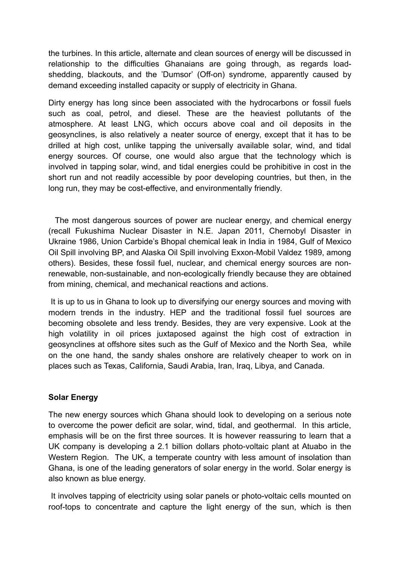the turbines. In this article, alternate and clean sources of energy will be discussed in relationship to the difficulties Ghanaians are going through, as regards loadshedding, blackouts, and the 'Dumsor' (Off-on) syndrome, apparently caused by demand exceeding installed capacity or supply of electricity in Ghana.

Dirty energy has long since been associated with the hydrocarbons or fossil fuels such as coal, petrol, and diesel. These are the heaviest pollutants of the atmosphere. At least LNG, which occurs above coal and oil deposits in the geosynclines, is also relatively a neater source of energy, except that it has to be drilled at high cost, unlike tapping the universally available solar, wind, and tidal energy sources. Of course, one would also argue that the technology which is involved in tapping solar, wind, and tidal energies could be prohibitive in cost in the short run and not readily accessible by poor developing countries, but then, in the long run, they may be cost-effective, and environmentally friendly.

 The most dangerous sources of power are nuclear energy, and chemical energy (recall Fukushima Nuclear Disaster in N.E. Japan 2011, Chernobyl Disaster in Ukraine 1986, Union Carbide's Bhopal chemical leak in India in 1984, Gulf of Mexico Oil Spill involving BP, and Alaska Oil Spill involving Exxon-Mobil Valdez 1989, among others). Besides, these fossil fuel, nuclear, and chemical energy sources are nonrenewable, non-sustainable, and non-ecologically friendly because they are obtained from mining, chemical, and mechanical reactions and actions.

 It is up to us in Ghana to look up to diversifying our energy sources and moving with modern trends in the industry. HEP and the traditional fossil fuel sources are becoming obsolete and less trendy. Besides, they are very expensive. Look at the high volatility in oil prices juxtaposed against the high cost of extraction in geosynclines at offshore sites such as the Gulf of Mexico and the North Sea, while on the one hand, the sandy shales onshore are relatively cheaper to work on in places such as Texas, California, Saudi Arabia, Iran, Iraq, Libya, and Canada.

## **Solar Energy**

The new energy sources which Ghana should look to developing on a serious note to overcome the power deficit are solar, wind, tidal, and geothermal. In this article, emphasis will be on the first three sources. It is however reassuring to learn that a UK company is developing a 2.1 billion dollars photo-voltaic plant at Atuabo in the Western Region. The UK, a temperate country with less amount of insolation than Ghana, is one of the leading generators of solar energy in the world. Solar energy is also known as blue energy.

 It involves tapping of electricity using solar panels or photo-voltaic cells mounted on roof-tops to concentrate and capture the light energy of the sun, which is then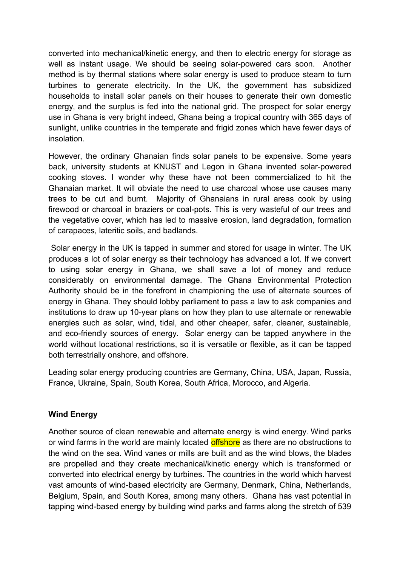converted into mechanical/kinetic energy, and then to electric energy for storage as well as instant usage. We should be seeing solar-powered cars soon. Another method is by thermal stations where solar energy is used to produce steam to turn turbines to generate electricity. In the UK, the government has subsidized households to install solar panels on their houses to generate their own domestic energy, and the surplus is fed into the national grid. The prospect for solar energy use in Ghana is very bright indeed, Ghana being a tropical country with 365 days of sunlight, unlike countries in the temperate and frigid zones which have fewer days of insolation.

However, the ordinary Ghanaian finds solar panels to be expensive. Some years back, university students at KNUST and Legon in Ghana invented solar-powered cooking stoves. I wonder why these have not been commercialized to hit the Ghanaian market. It will obviate the need to use charcoal whose use causes many trees to be cut and burnt. Majority of Ghanaians in rural areas cook by using firewood or charcoal in braziers or coal-pots. This is very wasteful of our trees and the vegetative cover, which has led to massive erosion, land degradation, formation of carapaces, lateritic soils, and badlands.

 Solar energy in the UK is tapped in summer and stored for usage in winter. The UK produces a lot of solar energy as their technology has advanced a lot. If we convert to using solar energy in Ghana, we shall save a lot of money and reduce considerably on environmental damage. The Ghana Environmental Protection Authority should be in the forefront in championing the use of alternate sources of energy in Ghana. They should lobby parliament to pass a law to ask companies and institutions to draw up 10-year plans on how they plan to use alternate or renewable energies such as solar, wind, tidal, and other cheaper, safer, cleaner, sustainable, and eco-friendly sources of energy. Solar energy can be tapped anywhere in the world without locational restrictions, so it is versatile or flexible, as it can be tapped both terrestrially onshore, and offshore.

Leading solar energy producing countries are Germany, China, USA, Japan, Russia, France, Ukraine, Spain, South Korea, South Africa, Morocco, and Algeria.

## **Wind Energy**

Another source of clean renewable and alternate energy is wind energy. Wind parks or wind farms in the world are mainly located **offshore** as there are no obstructions to the wind on the sea. Wind vanes or mills are built and as the wind blows, the blades are propelled and they create mechanical/kinetic energy which is transformed or converted into electrical energy by turbines. The countries in the world which harvest vast amounts of wind-based electricity are Germany, Denmark, China, Netherlands, Belgium, Spain, and South Korea, among many others. Ghana has vast potential in tapping wind-based energy by building wind parks and farms along the stretch of 539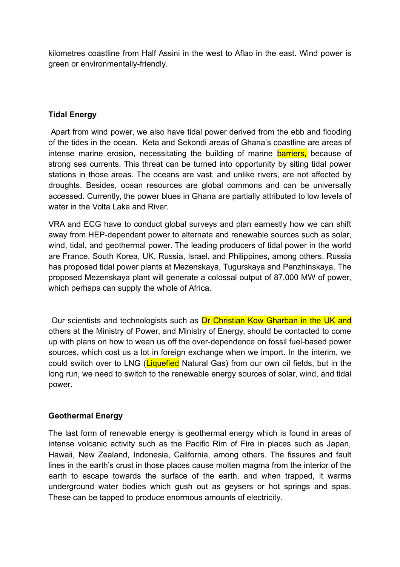kilometres coastline from Half Assini in the west to Aflao in the east. Wind power is green or environmentally-friendly.

# **Tidal Energy**

 Apart from wind power, we also have tidal power derived from the ebb and flooding of the tides in the ocean. Keta and Sekondi areas of Ghana's coastline are areas of intense marine erosion, necessitating the building of marine **barriers**, because of strong sea currents. This threat can be turned into opportunity by siting tidal power stations in those areas. The oceans are vast, and unlike rivers, are not affected by droughts. Besides, ocean resources are global commons and can be universally accessed. Currently, the power blues in Ghana are partially attributed to low levels of water in the Volta Lake and River.

VRA and ECG have to conduct global surveys and plan earnestly how we can shift away from HEP-dependent power to alternate and renewable sources such as solar, wind, tidal, and geothermal power. The leading producers of tidal power in the world are France, South Korea, UK, Russia, Israel, and Philippines, among others. Russia has proposed tidal power plants at Mezenskaya, Tugurskaya and Penzhinskaya. The proposed Mezenskaya plant will generate a colossal output of 87,000 MW of power, which perhaps can supply the whole of Africa.

 Our scientists and technologists such as Dr Christian Kow Gharban in the UK and others at the Ministry of Power, and Ministry of Energy, should be contacted to come up with plans on how to wean us off the over-dependence on fossil fuel-based power sources, which cost us a lot in foreign exchange when we import. In the interim, we could switch over to LNG (Liquefied Natural Gas) from our own oil fields, but in the long run, we need to switch to the renewable energy sources of solar, wind, and tidal power.

## **Geothermal Energy**

The last form of renewable energy is geothermal energy which is found in areas of intense volcanic activity such as the Pacific Rim of Fire in places such as Japan, Hawaii, New Zealand, Indonesia, California, among others. The fissures and fault lines in the earth's crust in those places cause molten magma from the interior of the earth to escape towards the surface of the earth, and when trapped, it warms underground water bodies which gush out as geysers or hot springs and spas. These can be tapped to produce enormous amounts of electricity.